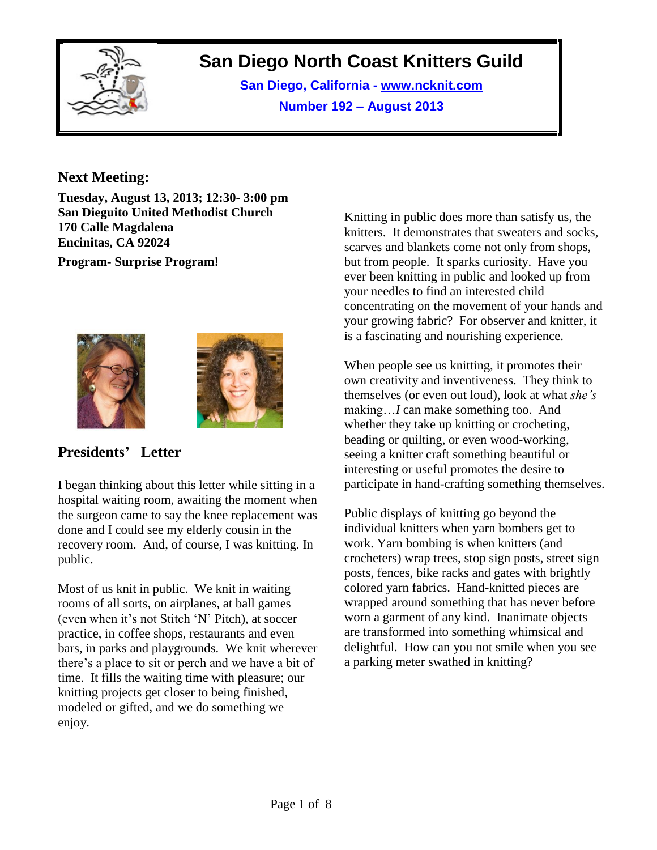

# **San Diego North Coast Knitters Guild**

**San Diego, California - www.ncknit.com Number 192 – August 2013**

### **Next Meeting:**

**Tuesday, August 13, 2013; 12:30- 3:00 pm San Dieguito United Methodist Church 170 Calle Magdalena Encinitas, CA 92024**

**Program- Surprise Program!**





# **Presidents' Letter**

I began thinking about this letter while sitting in a hospital waiting room, awaiting the moment when the surgeon came to say the knee replacement was done and I could see my elderly cousin in the recovery room. And, of course, I was knitting. In public.

Most of us knit in public. We knit in waiting rooms of all sorts, on airplanes, at ball games (even when it's not Stitch 'N' Pitch), at soccer practice, in coffee shops, restaurants and even bars, in parks and playgrounds. We knit wherever there's a place to sit or perch and we have a bit of time. It fills the waiting time with pleasure; our knitting projects get closer to being finished, modeled or gifted, and we do something we enjoy.

Knitting in public does more than satisfy us, the knitters. It demonstrates that sweaters and socks, scarves and blankets come not only from shops, but from people. It sparks curiosity. Have you ever been knitting in public and looked up from your needles to find an interested child concentrating on the movement of your hands and your growing fabric? For observer and knitter, it is a fascinating and nourishing experience.

When people see us knitting, it promotes their own creativity and inventiveness. They think to themselves (or even out loud), look at what *she's* making…*I* can make something too. And whether they take up knitting or crocheting, beading or quilting, or even wood-working, seeing a knitter craft something beautiful or interesting or useful promotes the desire to participate in hand-crafting something themselves.

Public displays of knitting go beyond the individual knitters when yarn bombers get to work. Yarn bombing is when knitters (and crocheters) wrap trees, stop sign posts, street sign posts, fences, bike racks and gates with brightly colored yarn fabrics. Hand-knitted pieces are wrapped around something that has never before worn a garment of any kind. Inanimate objects are transformed into something whimsical and delightful. How can you not smile when you see a parking meter swathed in knitting?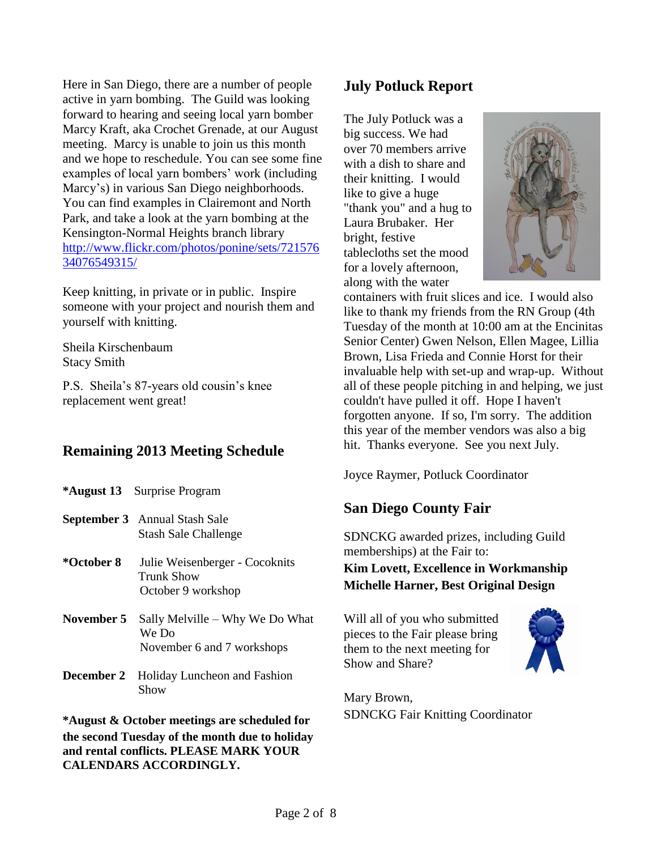Here in San Diego, there are a number of people active in yarn bombing. The Guild was looking forward to hearing and seeing local yarn bomber Marcy Kraft, aka Crochet Grenade, at our August meeting. Marcy is unable to join us this month and we hope to reschedule. You can see some fine examples of local yarn bombers' work (including Marcy's) in various San Diego neighborhoods. You can find examples in Clairemont and North Park, and take a look at the yarn bombing at the Kensington-Normal Heights branch library [http://www.flickr.com/photos/ponine/sets/721576](http://www.flickr.com/photos/ponine/sets/72157634076549315/) [34076549315/](http://www.flickr.com/photos/ponine/sets/72157634076549315/)

Keep knitting, in private or in public. Inspire someone with your project and nourish them and yourself with knitting.

Sheila Kirschenbaum Stacy Smith

P.S. Sheila's 87-years old cousin's knee replacement went great!

### **Remaining 2013 Meeting Schedule**

|            | * <b>August 13</b> Surprise Program                                    |
|------------|------------------------------------------------------------------------|
|            | <b>September 3</b> Annual Stash Sale<br><b>Stash Sale Challenge</b>    |
| *October 8 | Julie Weisenberger - Cocoknits<br>Trunk Show<br>October 9 workshop     |
| November 5 | Sally Melville – Why We Do What<br>We Do<br>November 6 and 7 workshops |
| December 2 | Holiday Luncheon and Fashion<br>Show                                   |

**\*August & October meetings are scheduled for the second Tuesday of the month due to holiday and rental conflicts. PLEASE MARK YOUR CALENDARS ACCORDINGLY.**

# **July Potluck Report**

The July Potluck was a big success. We had over 70 members arrive with a dish to share and their knitting. I would like to give a huge "thank you" and a hug to Laura Brubaker. Her bright, festive tablecloths set the mood for a lovely afternoon, along with the water



containers with fruit slices and ice. I would also like to thank my friends from the RN Group (4th Tuesday of the month at 10:00 am at the Encinitas Senior Center) Gwen Nelson, Ellen Magee, Lillia Brown, Lisa Frieda and Connie Horst for their invaluable help with set-up and wrap-up. Without all of these people pitching in and helping, we just couldn't have pulled it off. Hope I haven't forgotten anyone. If so, I'm sorry. The addition this year of the member vendors was also a big hit. Thanks everyone. See you next July.

Joyce Raymer, Potluck Coordinator

# **San Diego County Fair**

SDNCKG awarded prizes, including Guild memberships) at the Fair to: **Kim Lovett, Excellence in Workmanship Michelle Harner, Best Original Design**

Will all of you who submitted pieces to the Fair please bring them to the next meeting for Show and Share?



Mary Brown, SDNCKG Fair Knitting Coordinator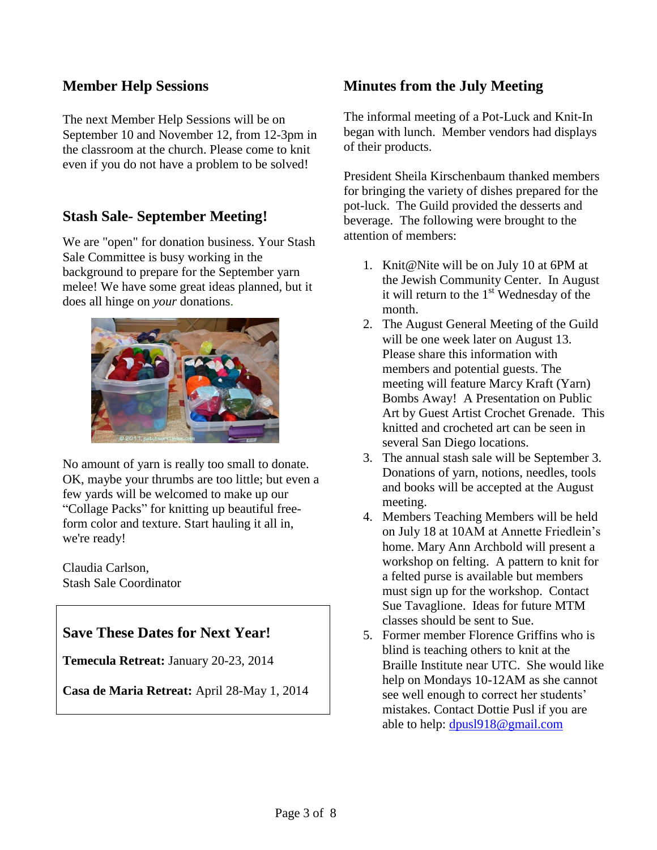### **Member Help Sessions**

The next Member Help Sessions will be on September 10 and November 12, from 12-3pm in the classroom at the church. Please come to knit even if you do not have a problem to be solved!

# **Stash Sale- September Meeting!**

We are "open" for donation business. Your Stash Sale Committee is busy working in the background to prepare for the September yarn melee! We have some great ideas planned, but it does all hinge on *your* donations.



No amount of yarn is really too small to donate. OK, maybe your thrumbs are too little; but even a few yards will be welcomed to make up our "Collage Packs" for knitting up beautiful freeform color and texture. Start hauling it all in, we're ready!

Claudia Carlson, Stash Sale Coordinator

### **Save These Dates for Next Year!**

**Temecula Retreat:** January 20-23, 2014

**Casa de Maria Retreat:** April 28-May 1, 2014

# **Minutes from the July Meeting**

The informal meeting of a Pot-Luck and Knit-In began with lunch. Member vendors had displays of their products.

President Sheila Kirschenbaum thanked members for bringing the variety of dishes prepared for the pot-luck. The Guild provided the desserts and beverage. The following were brought to the attention of members:

- 1. Knit@Nite will be on July 10 at 6PM at the Jewish Community Center. In August it will return to the  $1<sup>st</sup>$  Wednesday of the month.
- 2. The August General Meeting of the Guild will be one week later on August 13. Please share this information with members and potential guests. The meeting will feature Marcy Kraft (Yarn) Bombs Away! A Presentation on Public Art by Guest Artist Crochet Grenade. This knitted and crocheted art can be seen in several San Diego locations.
- 3. The annual stash sale will be September 3. Donations of yarn, notions, needles, tools and books will be accepted at the August meeting.
- 4. Members Teaching Members will be held on July 18 at 10AM at Annette Friedlein's home. Mary Ann Archbold will present a workshop on felting. A pattern to knit for a felted purse is available but members must sign up for the workshop. Contact Sue Tavaglione. Ideas for future MTM classes should be sent to Sue.
- 5. Former member Florence Griffins who is blind is teaching others to knit at the Braille Institute near UTC. She would like help on Mondays 10-12AM as she cannot see well enough to correct her students' mistakes. Contact Dottie Pusl if you are able to help: [dpusl918@gmail.com](mailto:dpusl918@gmail.com)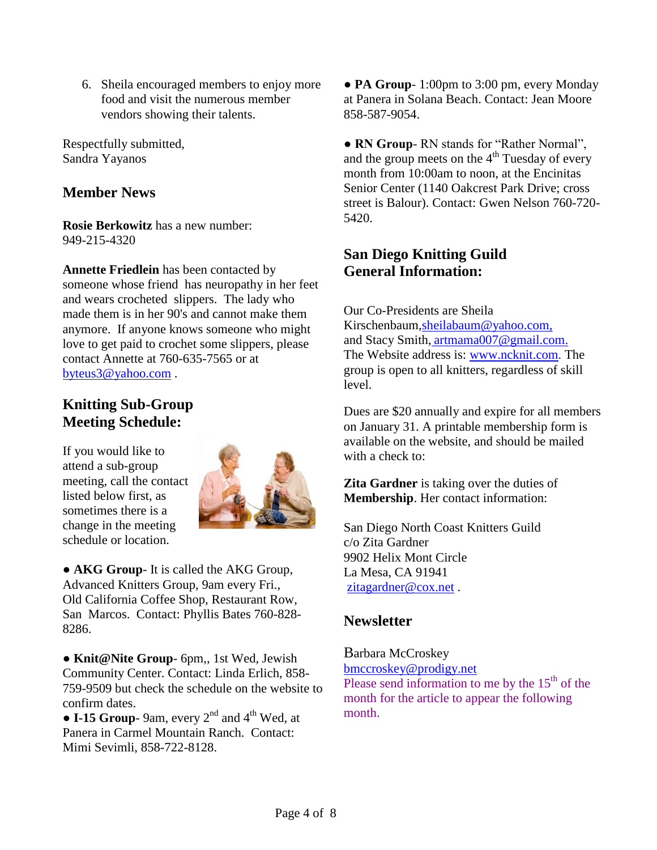6. Sheila encouraged members to enjoy more food and visit the numerous member vendors showing their talents.

Respectfully submitted, Sandra Yayanos

# **Member News**

**Rosie Berkowitz** has a new number: 949-215-4320

**Annette Friedlein** has been contacted by someone whose friend has neuropathy in her feet and wears crocheted slippers. The lady who made them is in her 90's and cannot make them anymore. If anyone knows someone who might love to get paid to crochet some slippers, please contact Annette at 760-635-7565 or at [byteus3@yahoo.com](mailto:byteus3@yahoo.com) .

# **Knitting Sub-Group Meeting Schedule:**

If you would like to attend a sub-group meeting, call the contact listed below first, as sometimes there is a change in the meeting schedule or location.



● **AKG Group**- It is called the AKG Group, Advanced Knitters Group, 9am every Fri., Old California Coffee Shop, Restaurant Row, San Marcos. Contact: Phyllis Bates 760-828- 8286.

● **Knit@Nite Group**- 6pm,, 1st Wed, Jewish Community Center. Contact: Linda Erlich, 858- 759-9509 but check the schedule on the website to confirm dates.

 $\bullet$  **I-15 Group**-9am, every 2<sup>nd</sup> and 4<sup>th</sup> Wed, at Panera in Carmel Mountain Ranch. Contact: Mimi Sevimli, 858-722-8128.

● **PA Group**- 1:00pm to 3:00 pm, every Monday at Panera in Solana Beach. Contact: Jean Moore 858-587-9054.

**● RN Group**- RN stands for "Rather Normal", and the group meets on the  $4<sup>th</sup>$  Tuesday of every month from 10:00am to noon, at the Encinitas Senior Center (1140 Oakcrest Park Drive; cross street is Balour). Contact: Gwen Nelson 760-720- 5420.

# **San Diego Knitting Guild General Information:**

Our Co-Presidents are Sheila Kirschenbaum[,sheilabaum@yahoo.com,](mailto:sheilabaum@yahoo.com) and Stacy Smith, [artmama007@gmail.com.](mailto:artmama007@gmail.com) The Website address is: [www.ncknit.com.](http://www.ncknit.com/) The group is open to all knitters, regardless of skill level.

Dues are \$20 annually and expire for all members on January 31. A printable membership form is available on the website, and should be mailed with a check to:

**Zita Gardner** is taking over the duties of **Membership**. Her contact information:

San Diego North Coast Knitters Guild c/o Zita Gardner 9902 Helix Mont Circle La Mesa, CA 91941 [zitagardner@cox.net](mailto:zitagardner@cox.net) .

# **Newsletter**

Barbara McCroskey

[bmccroskey@prodigy.net](mailto:bmccroskey@prodigy.net) Please send information to me by the  $15<sup>th</sup>$  of the month for the article to appear the following month.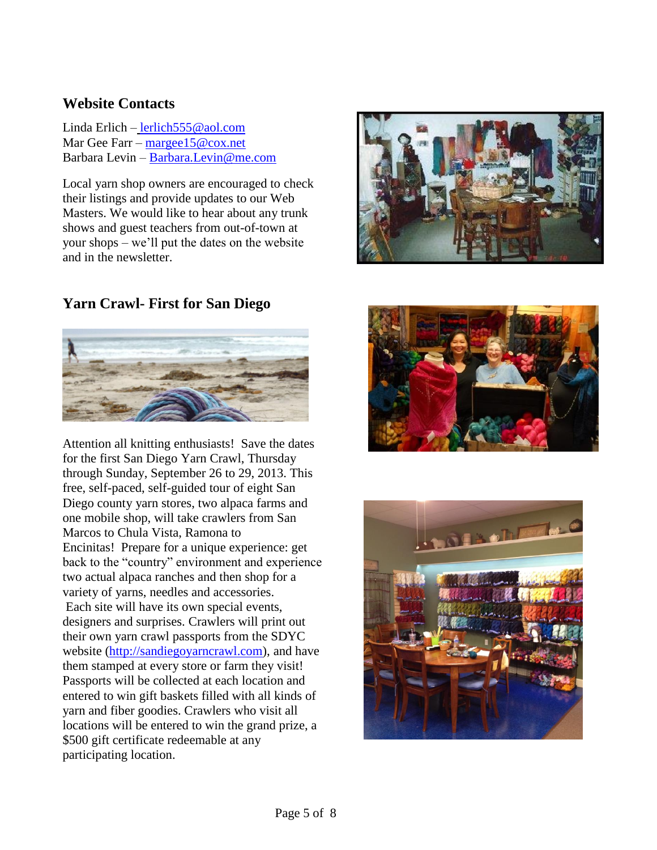### **Website Contacts**

Linda Erlich – [lerlich555@aol.com](mailto:lerlich555@aol.com) Mar Gee Farr – [margee15@cox.net](mailto:margee15@cox.net) Barbara Levin – [Barbara.Levin@me.com](mailto:Barbara.Levin@me.com)

Local yarn shop owners are encouraged to check their listings and provide updates to our Web Masters. We would like to hear about any trunk shows and guest teachers from out-of-town at your shops – we'll put the dates on the website and in the newsletter.

# **Yarn Crawl- First for San Diego**



Attention all knitting enthusiasts! Save the dates for the first San Diego Yarn Crawl, Thursday through Sunday, September 26 to 29, 2013. This free, self-paced, self-guided tour of eight San Diego county yarn stores, two alpaca farms and one mobile shop, will take crawlers from San Marcos to Chula Vista, Ramona to Encinitas! Prepare for a unique experience: get back to the "country" environment and experience two actual alpaca ranches and then shop for a variety of yarns, needles and accessories. Each site will have its own special events, designers and surprises. Crawlers will print out their own yarn crawl passports from the SDYC website [\(http://sandiegoyarncrawl.com\)](http://sandiegoyarncrawl.com/), and have them stamped at every store or farm they visit! Passports will be collected at each location and entered to win gift baskets filled with all kinds of yarn and fiber goodies. Crawlers who visit all locations will be entered to win the grand prize, a \$500 gift certificate redeemable at any participating location.





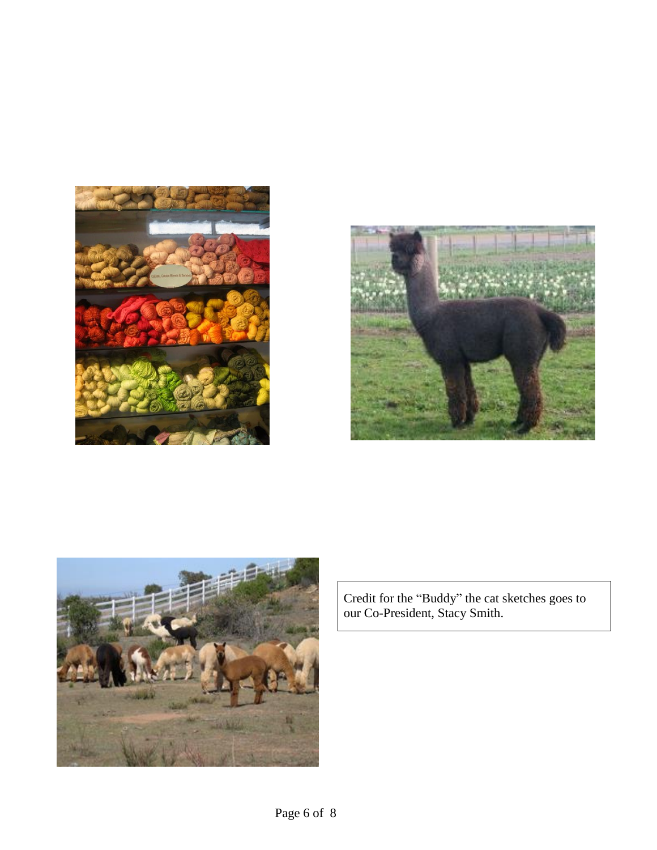





Credit for the "Buddy" the cat sketches goes to our Co-President, Stacy Smith.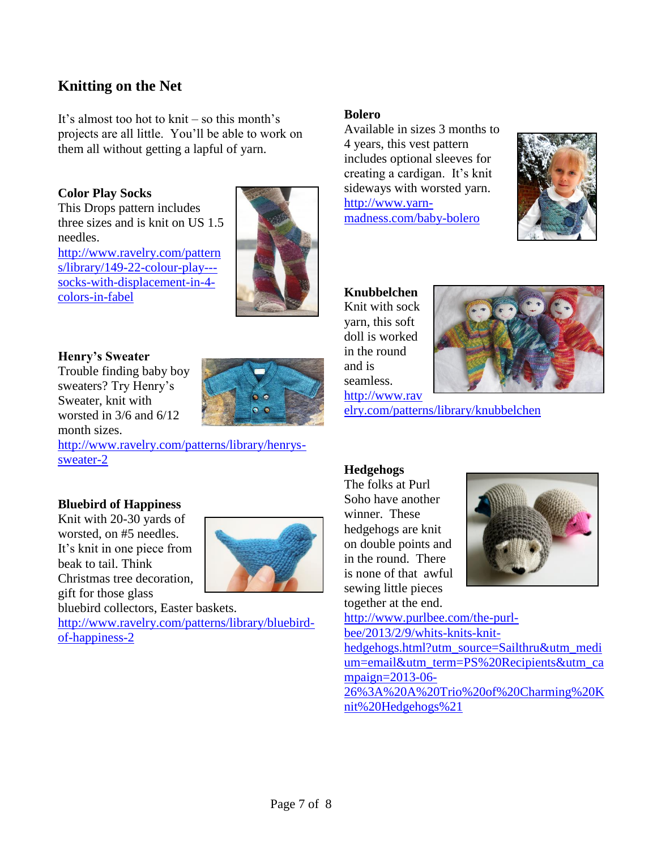# **Knitting on the Net**

It's almost too hot to knit – so this month's projects are all little. You'll be able to work on them all without getting a lapful of yarn.

#### **Color Play Socks**

This Drops pattern includes three sizes and is knit on US 1.5 needles.

[http://www.ravelry.com/pattern](http://www.ravelry.com/patterns/library/149-22-colour-play---socks-with-displacement-in-4-colors-in-fabel) [s/library/149-22-colour-play--](http://www.ravelry.com/patterns/library/149-22-colour-play---socks-with-displacement-in-4-colors-in-fabel) [socks-with-displacement-in-4](http://www.ravelry.com/patterns/library/149-22-colour-play---socks-with-displacement-in-4-colors-in-fabel) [colors-in-fabel](http://www.ravelry.com/patterns/library/149-22-colour-play---socks-with-displacement-in-4-colors-in-fabel)



#### **Henry's Sweater**

Trouble finding baby boy sweaters? Try Henry's Sweater, knit with worsted in 3/6 and 6/12 month sizes.



[http://www.ravelry.com/patterns/library/henrys](http://www.ravelry.com/patterns/library/henrys-sweater-2)[sweater-2](http://www.ravelry.com/patterns/library/henrys-sweater-2)

#### **Bluebird of Happiness**

Knit with 20-30 yards of worsted, on #5 needles. It's knit in one piece from beak to tail. Think Christmas tree decoration, gift for those glass



bluebird collectors, Easter baskets. [http://www.ravelry.com/patterns/library/bluebird](http://www.ravelry.com/patterns/library/bluebird-of-happiness-2)[of-happiness-2](http://www.ravelry.com/patterns/library/bluebird-of-happiness-2)

#### **Bolero**

Available in sizes 3 months to 4 years, this vest pattern includes optional sleeves for creating a cardigan. It's knit sideways with worsted yarn. [http://www.yarn](http://www.yarn-madness.com/baby-bolero)[madness.com/baby-bolero](http://www.yarn-madness.com/baby-bolero)



**Knubbelchen** Knit with sock yarn, this soft doll is worked in the round and is



[http://www.rav](http://www.ravelry.com/patterns/library/knubbelchen) [elry.com/patterns/library/knubbelchen](http://www.ravelry.com/patterns/library/knubbelchen)

#### **Hedgehogs**

seamless.

The folks at Purl Soho have another winner. These hedgehogs are knit on double points and in the round. There is none of that awful sewing little pieces together at the end.



[http://www.purlbee.com/the-purl](http://www.purlbee.com/the-purl-bee/2013/2/9/whits-knits-knit-hedgehogs.html?utm_source=Sailthru&utm_medium=email&utm_term=PS%20Recipients&utm_campaign=2013-06-26%3A%20A%20Trio%20of%20Charming%20Knit%20Hedgehogs%21)[bee/2013/2/9/whits-knits-knit](http://www.purlbee.com/the-purl-bee/2013/2/9/whits-knits-knit-hedgehogs.html?utm_source=Sailthru&utm_medium=email&utm_term=PS%20Recipients&utm_campaign=2013-06-26%3A%20A%20Trio%20of%20Charming%20Knit%20Hedgehogs%21)[hedgehogs.html?utm\\_source=Sailthru&utm\\_medi](http://www.purlbee.com/the-purl-bee/2013/2/9/whits-knits-knit-hedgehogs.html?utm_source=Sailthru&utm_medium=email&utm_term=PS%20Recipients&utm_campaign=2013-06-26%3A%20A%20Trio%20of%20Charming%20Knit%20Hedgehogs%21) [um=email&utm\\_term=PS%20Recipients&utm\\_ca](http://www.purlbee.com/the-purl-bee/2013/2/9/whits-knits-knit-hedgehogs.html?utm_source=Sailthru&utm_medium=email&utm_term=PS%20Recipients&utm_campaign=2013-06-26%3A%20A%20Trio%20of%20Charming%20Knit%20Hedgehogs%21) [mpaign=2013-06-](http://www.purlbee.com/the-purl-bee/2013/2/9/whits-knits-knit-hedgehogs.html?utm_source=Sailthru&utm_medium=email&utm_term=PS%20Recipients&utm_campaign=2013-06-26%3A%20A%20Trio%20of%20Charming%20Knit%20Hedgehogs%21) [26%3A%20A%20Trio%20of%20Charming%20K](http://www.purlbee.com/the-purl-bee/2013/2/9/whits-knits-knit-hedgehogs.html?utm_source=Sailthru&utm_medium=email&utm_term=PS%20Recipients&utm_campaign=2013-06-26%3A%20A%20Trio%20of%20Charming%20Knit%20Hedgehogs%21) [nit%20Hedgehogs%21](http://www.purlbee.com/the-purl-bee/2013/2/9/whits-knits-knit-hedgehogs.html?utm_source=Sailthru&utm_medium=email&utm_term=PS%20Recipients&utm_campaign=2013-06-26%3A%20A%20Trio%20of%20Charming%20Knit%20Hedgehogs%21)